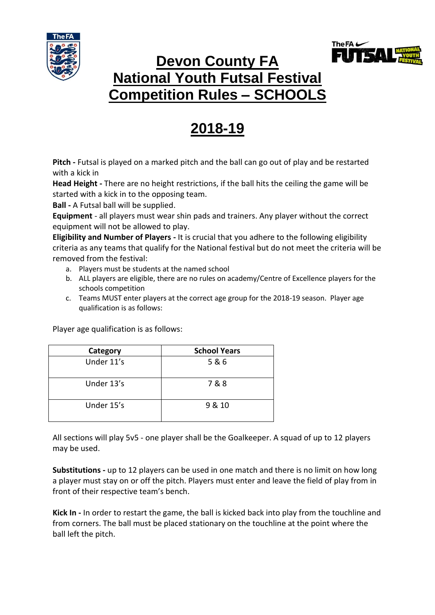



## **Devon County FA National Youth Futsal Festival Competition Rules – SCHOOLS**

## **2018-19**

**Pitch -** Futsal is played on a marked pitch and the ball can go out of play and be restarted with a kick in

**Head Height -** There are no height restrictions, if the ball hits the ceiling the game will be started with a kick in to the opposing team.

**Ball -** A Futsal ball will be supplied.

**Equipment** - all players must wear shin pads and trainers. Any player without the correct equipment will not be allowed to play.

**Eligibility and Number of Players -** It is crucial that you adhere to the following eligibility criteria as any teams that qualify for the National festival but do not meet the criteria will be removed from the festival:

- a. Players must be students at the named school
- b. ALL players are eligible, there are no rules on academy/Centre of Excellence players for the schools competition
- c. Teams MUST enter players at the correct age group for the 2018-19 season. Player age qualification is as follows:

Player age qualification is as follows:

| Category   | <b>School Years</b> |
|------------|---------------------|
| Under 11's | 5&6                 |
| Under 13's | 7&8                 |
| Under 15's | 9 & 10              |

All sections will play 5v5 - one player shall be the Goalkeeper. A squad of up to 12 players may be used.

**Substitutions -** up to 12 players can be used in one match and there is no limit on how long a player must stay on or off the pitch. Players must enter and leave the field of play from in front of their respective team's bench.

**Kick In -** In order to restart the game, the ball is kicked back into play from the touchline and from corners. The ball must be placed stationary on the touchline at the point where the ball left the pitch.